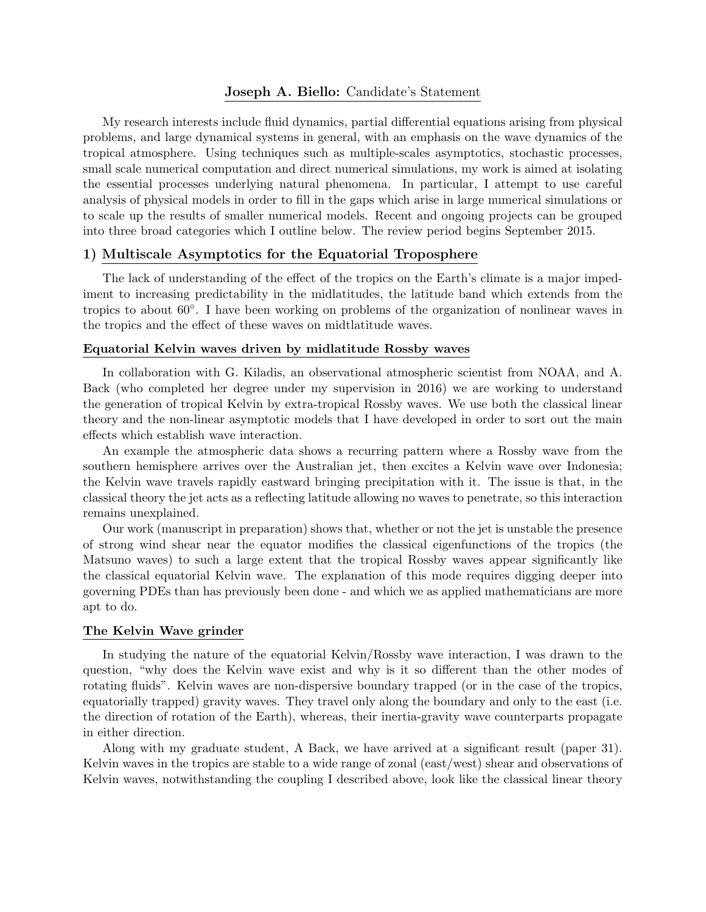# Joseph A. Biello: Candidate's Statement

My research interests include fluid dynamics, partial differential equations arising from physical problems, and large dynamical systems in general, with an emphasis on the wave dynamics of the tropical atmosphere. Using techniques such as multiple-scales asymptotics, stochastic processes, small scale numerical computation and direct numerical simulations, my work is aimed at isolating the essential processes underlying natural phenomena. In particular, I attempt to use careful analysis of physical models in order to fill in the gaps which arise in large numerical simulations or to scale up the results of smaller numerical models. Recent and ongoing projects can be grouped into three broad categories which I outline below. The review period begins September 2015.

## 1) Multiscale Asymptotics for the Equatorial Troposphere

The lack of understanding of the effect of the tropics on the Earth's climate is a major impediment to increasing predictability in the midlatitudes, the latitude band which extends from the tropics to about 60◦ . I have been working on problems of the organization of nonlinear waves in the tropics and the effect of these waves on midtlatitude waves.

### Equatorial Kelvin waves driven by midlatitude Rossby waves

In collaboration with G. Kiladis, an observational atmospheric scientist from NOAA, and A. Back (who completed her degree under my supervision in 2016) we are working to understand the generation of tropical Kelvin by extra-tropical Rossby waves. We use both the classical linear theory and the non-linear asymptotic models that I have developed in order to sort out the main effects which establish wave interaction.

An example the atmospheric data shows a recurring pattern where a Rossby wave from the southern hemisphere arrives over the Australian jet, then excites a Kelvin wave over Indonesia; the Kelvin wave travels rapidly eastward bringing precipitation with it. The issue is that, in the classical theory the jet acts as a reflecting latitude allowing no waves to penetrate, so this interaction remains unexplained.

Our work (manuscript in preparation) shows that, whether or not the jet is unstable the presence of strong wind shear near the equator modifies the classical eigenfunctions of the tropics (the Matsuno waves) to such a large extent that the tropical Rossby waves appear significantly like the classical equatorial Kelvin wave. The explanation of this mode requires digging deeper into governing PDEs than has previously been done - and which we as applied mathematicians are more apt to do.

## The Kelvin Wave grinder

In studying the nature of the equatorial Kelvin/Rossby wave interaction, I was drawn to the question, "why does the Kelvin wave exist and why is it so different than the other modes of rotating fluids". Kelvin waves are non-dispersive boundary trapped (or in the case of the tropics, equatorially trapped) gravity waves. They travel only along the boundary and only to the east (i.e. the direction of rotation of the Earth), whereas, their inertia-gravity wave counterparts propagate in either direction.

Along with my graduate student, A Back, we have arrived at a significant result (paper 31). Kelvin waves in the tropics are stable to a wide range of zonal (east/west) shear and observations of Kelvin waves, notwithstanding the coupling I described above, look like the classical linear theory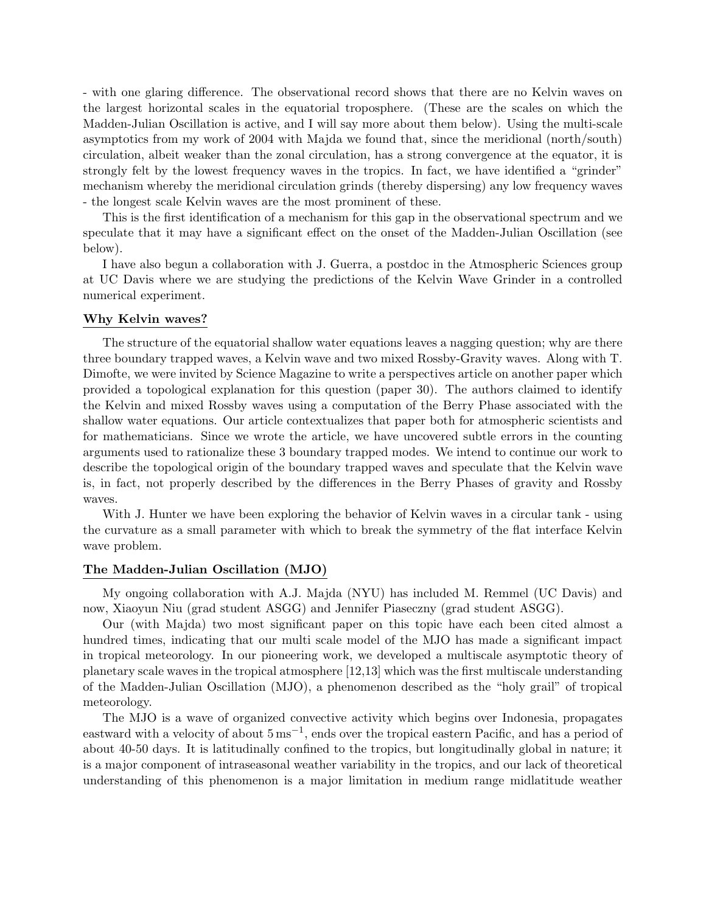- with one glaring difference. The observational record shows that there are no Kelvin waves on the largest horizontal scales in the equatorial troposphere. (These are the scales on which the Madden-Julian Oscillation is active, and I will say more about them below). Using the multi-scale asymptotics from my work of 2004 with Majda we found that, since the meridional (north/south) circulation, albeit weaker than the zonal circulation, has a strong convergence at the equator, it is strongly felt by the lowest frequency waves in the tropics. In fact, we have identified a "grinder" mechanism whereby the meridional circulation grinds (thereby dispersing) any low frequency waves - the longest scale Kelvin waves are the most prominent of these.

This is the first identification of a mechanism for this gap in the observational spectrum and we speculate that it may have a significant effect on the onset of the Madden-Julian Oscillation (see below).

I have also begun a collaboration with J. Guerra, a postdoc in the Atmospheric Sciences group at UC Davis where we are studying the predictions of the Kelvin Wave Grinder in a controlled numerical experiment.

### Why Kelvin waves?

The structure of the equatorial shallow water equations leaves a nagging question; why are there three boundary trapped waves, a Kelvin wave and two mixed Rossby-Gravity waves. Along with T. Dimofte, we were invited by Science Magazine to write a perspectives article on another paper which provided a topological explanation for this question (paper 30). The authors claimed to identify the Kelvin and mixed Rossby waves using a computation of the Berry Phase associated with the shallow water equations. Our article contextualizes that paper both for atmospheric scientists and for mathematicians. Since we wrote the article, we have uncovered subtle errors in the counting arguments used to rationalize these 3 boundary trapped modes. We intend to continue our work to describe the topological origin of the boundary trapped waves and speculate that the Kelvin wave is, in fact, not properly described by the differences in the Berry Phases of gravity and Rossby waves.

With J. Hunter we have been exploring the behavior of Kelvin waves in a circular tank - using the curvature as a small parameter with which to break the symmetry of the flat interface Kelvin wave problem.

# The Madden-Julian Oscillation (MJO)

My ongoing collaboration with A.J. Majda (NYU) has included M. Remmel (UC Davis) and now, Xiaoyun Niu (grad student ASGG) and Jennifer Piaseczny (grad student ASGG).

Our (with Majda) two most significant paper on this topic have each been cited almost a hundred times, indicating that our multi scale model of the MJO has made a significant impact in tropical meteorology. In our pioneering work, we developed a multiscale asymptotic theory of planetary scale waves in the tropical atmosphere [12,13] which was the first multiscale understanding of the Madden-Julian Oscillation (MJO), a phenomenon described as the "holy grail" of tropical meteorology.

The MJO is a wave of organized convective activity which begins over Indonesia, propagates eastward with a velocity of about 5 ms−<sup>1</sup> , ends over the tropical eastern Pacific, and has a period of about 40-50 days. It is latitudinally confined to the tropics, but longitudinally global in nature; it is a major component of intraseasonal weather variability in the tropics, and our lack of theoretical understanding of this phenomenon is a major limitation in medium range midlatitude weather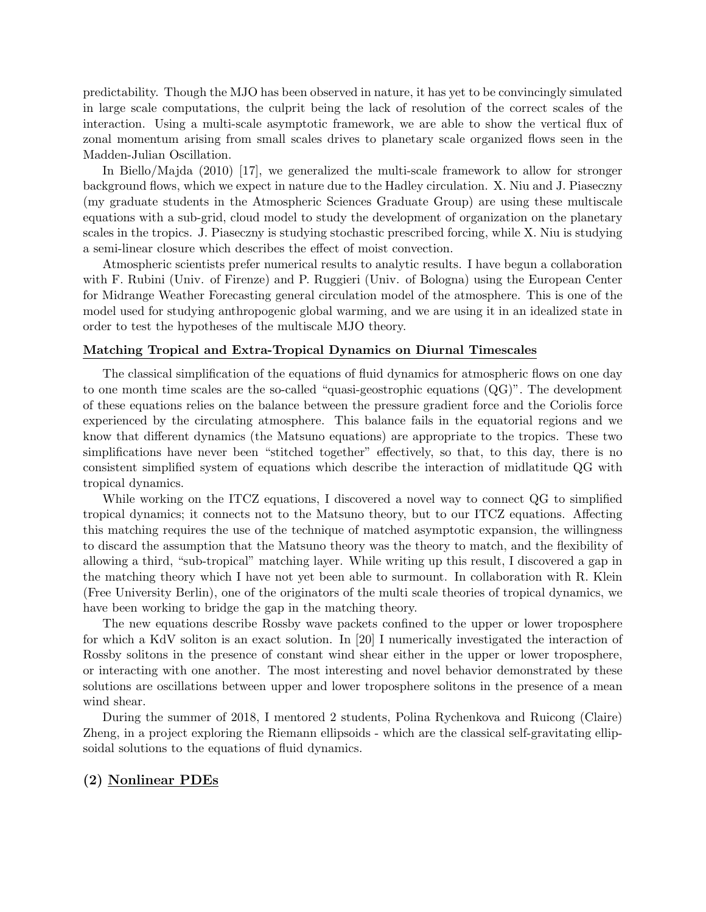predictability. Though the MJO has been observed in nature, it has yet to be convincingly simulated in large scale computations, the culprit being the lack of resolution of the correct scales of the interaction. Using a multi-scale asymptotic framework, we are able to show the vertical flux of zonal momentum arising from small scales drives to planetary scale organized flows seen in the Madden-Julian Oscillation.

In Biello/Majda (2010) [17], we generalized the multi-scale framework to allow for stronger background flows, which we expect in nature due to the Hadley circulation. X. Niu and J. Piaseczny (my graduate students in the Atmospheric Sciences Graduate Group) are using these multiscale equations with a sub-grid, cloud model to study the development of organization on the planetary scales in the tropics. J. Piaseczny is studying stochastic prescribed forcing, while X. Niu is studying a semi-linear closure which describes the effect of moist convection.

Atmospheric scientists prefer numerical results to analytic results. I have begun a collaboration with F. Rubini (Univ. of Firenze) and P. Ruggieri (Univ. of Bologna) using the European Center for Midrange Weather Forecasting general circulation model of the atmosphere. This is one of the model used for studying anthropogenic global warming, and we are using it in an idealized state in order to test the hypotheses of the multiscale MJO theory.

### Matching Tropical and Extra-Tropical Dynamics on Diurnal Timescales

The classical simplification of the equations of fluid dynamics for atmospheric flows on one day to one month time scales are the so-called "quasi-geostrophic equations (QG)". The development of these equations relies on the balance between the pressure gradient force and the Coriolis force experienced by the circulating atmosphere. This balance fails in the equatorial regions and we know that different dynamics (the Matsuno equations) are appropriate to the tropics. These two simplifications have never been "stitched together" effectively, so that, to this day, there is no consistent simplified system of equations which describe the interaction of midlatitude QG with tropical dynamics.

While working on the ITCZ equations, I discovered a novel way to connect QG to simplified tropical dynamics; it connects not to the Matsuno theory, but to our ITCZ equations. Affecting this matching requires the use of the technique of matched asymptotic expansion, the willingness to discard the assumption that the Matsuno theory was the theory to match, and the flexibility of allowing a third, "sub-tropical" matching layer. While writing up this result, I discovered a gap in the matching theory which I have not yet been able to surmount. In collaboration with R. Klein (Free University Berlin), one of the originators of the multi scale theories of tropical dynamics, we have been working to bridge the gap in the matching theory.

The new equations describe Rossby wave packets confined to the upper or lower troposphere for which a KdV soliton is an exact solution. In [20] I numerically investigated the interaction of Rossby solitons in the presence of constant wind shear either in the upper or lower troposphere, or interacting with one another. The most interesting and novel behavior demonstrated by these solutions are oscillations between upper and lower troposphere solitons in the presence of a mean wind shear.

During the summer of 2018, I mentored 2 students, Polina Rychenkova and Ruicong (Claire) Zheng, in a project exploring the Riemann ellipsoids - which are the classical self-gravitating ellipsoidal solutions to the equations of fluid dynamics.

# (2) Nonlinear PDEs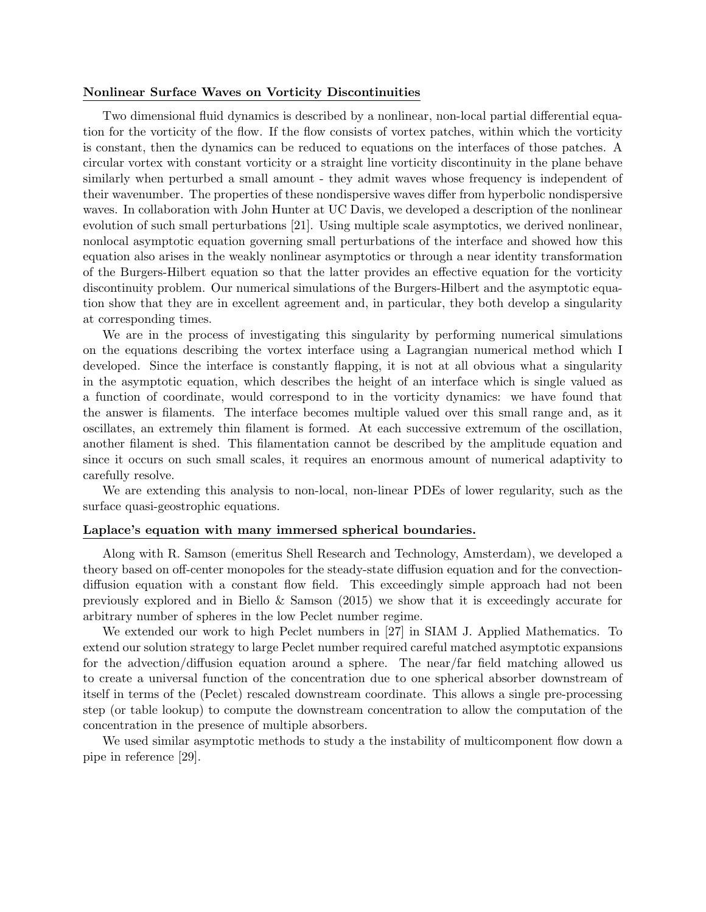### Nonlinear Surface Waves on Vorticity Discontinuities

Two dimensional fluid dynamics is described by a nonlinear, non-local partial differential equation for the vorticity of the flow. If the flow consists of vortex patches, within which the vorticity is constant, then the dynamics can be reduced to equations on the interfaces of those patches. A circular vortex with constant vorticity or a straight line vorticity discontinuity in the plane behave similarly when perturbed a small amount - they admit waves whose frequency is independent of their wavenumber. The properties of these nondispersive waves differ from hyperbolic nondispersive waves. In collaboration with John Hunter at UC Davis, we developed a description of the nonlinear evolution of such small perturbations [21]. Using multiple scale asymptotics, we derived nonlinear, nonlocal asymptotic equation governing small perturbations of the interface and showed how this equation also arises in the weakly nonlinear asymptotics or through a near identity transformation of the Burgers-Hilbert equation so that the latter provides an effective equation for the vorticity discontinuity problem. Our numerical simulations of the Burgers-Hilbert and the asymptotic equation show that they are in excellent agreement and, in particular, they both develop a singularity at corresponding times.

We are in the process of investigating this singularity by performing numerical simulations on the equations describing the vortex interface using a Lagrangian numerical method which I developed. Since the interface is constantly flapping, it is not at all obvious what a singularity in the asymptotic equation, which describes the height of an interface which is single valued as a function of coordinate, would correspond to in the vorticity dynamics: we have found that the answer is filaments. The interface becomes multiple valued over this small range and, as it oscillates, an extremely thin filament is formed. At each successive extremum of the oscillation, another filament is shed. This filamentation cannot be described by the amplitude equation and since it occurs on such small scales, it requires an enormous amount of numerical adaptivity to carefully resolve.

We are extending this analysis to non-local, non-linear PDEs of lower regularity, such as the surface quasi-geostrophic equations.

## Laplace's equation with many immersed spherical boundaries.

Along with R. Samson (emeritus Shell Research and Technology, Amsterdam), we developed a theory based on off-center monopoles for the steady-state diffusion equation and for the convectiondiffusion equation with a constant flow field. This exceedingly simple approach had not been previously explored and in Biello & Samson (2015) we show that it is exceedingly accurate for arbitrary number of spheres in the low Peclet number regime.

We extended our work to high Peclet numbers in [27] in SIAM J. Applied Mathematics. To extend our solution strategy to large Peclet number required careful matched asymptotic expansions for the advection/diffusion equation around a sphere. The near/far field matching allowed us to create a universal function of the concentration due to one spherical absorber downstream of itself in terms of the (Peclet) rescaled downstream coordinate. This allows a single pre-processing step (or table lookup) to compute the downstream concentration to allow the computation of the concentration in the presence of multiple absorbers.

We used similar asymptotic methods to study a the instability of multicomponent flow down a pipe in reference [29].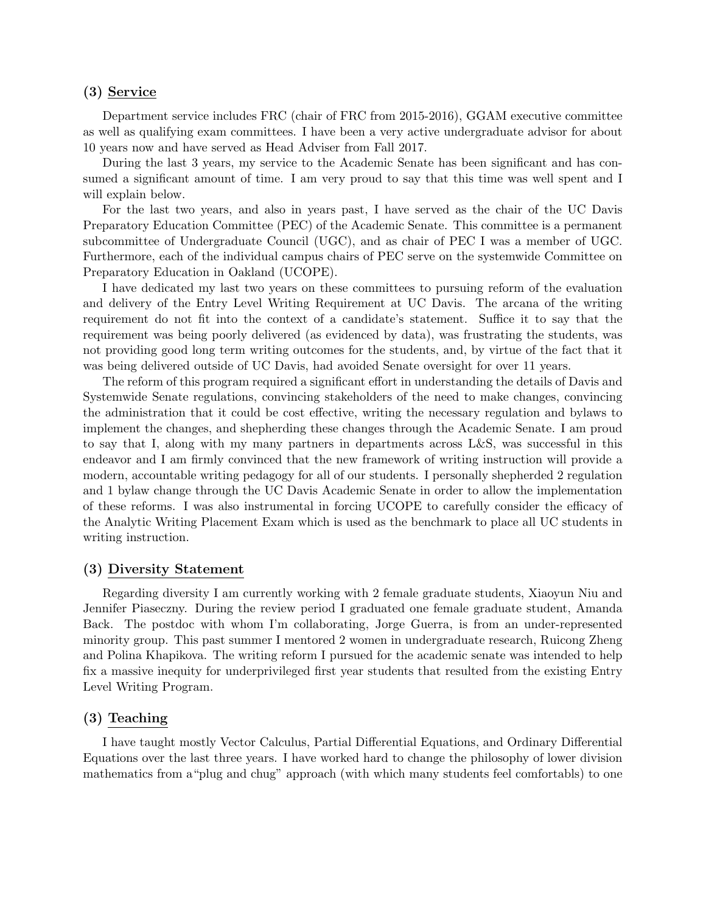# (3) Service

Department service includes FRC (chair of FRC from 2015-2016), GGAM executive committee as well as qualifying exam committees. I have been a very active undergraduate advisor for about 10 years now and have served as Head Adviser from Fall 2017.

During the last 3 years, my service to the Academic Senate has been significant and has consumed a significant amount of time. I am very proud to say that this time was well spent and I will explain below.

For the last two years, and also in years past, I have served as the chair of the UC Davis Preparatory Education Committee (PEC) of the Academic Senate. This committee is a permanent subcommittee of Undergraduate Council (UGC), and as chair of PEC I was a member of UGC. Furthermore, each of the individual campus chairs of PEC serve on the systemwide Committee on Preparatory Education in Oakland (UCOPE).

I have dedicated my last two years on these committees to pursuing reform of the evaluation and delivery of the Entry Level Writing Requirement at UC Davis. The arcana of the writing requirement do not fit into the context of a candidate's statement. Suffice it to say that the requirement was being poorly delivered (as evidenced by data), was frustrating the students, was not providing good long term writing outcomes for the students, and, by virtue of the fact that it was being delivered outside of UC Davis, had avoided Senate oversight for over 11 years.

The reform of this program required a significant effort in understanding the details of Davis and Systemwide Senate regulations, convincing stakeholders of the need to make changes, convincing the administration that it could be cost effective, writing the necessary regulation and bylaws to implement the changes, and shepherding these changes through the Academic Senate. I am proud to say that I, along with my many partners in departments across L&S, was successful in this endeavor and I am firmly convinced that the new framework of writing instruction will provide a modern, accountable writing pedagogy for all of our students. I personally shepherded 2 regulation and 1 bylaw change through the UC Davis Academic Senate in order to allow the implementation of these reforms. I was also instrumental in forcing UCOPE to carefully consider the efficacy of the Analytic Writing Placement Exam which is used as the benchmark to place all UC students in writing instruction.

# (3) Diversity Statement

Regarding diversity I am currently working with 2 female graduate students, Xiaoyun Niu and Jennifer Piaseczny. During the review period I graduated one female graduate student, Amanda Back. The postdoc with whom I'm collaborating, Jorge Guerra, is from an under-represented minority group. This past summer I mentored 2 women in undergraduate research, Ruicong Zheng and Polina Khapikova. The writing reform I pursued for the academic senate was intended to help fix a massive inequity for underprivileged first year students that resulted from the existing Entry Level Writing Program.

## (3) Teaching

I have taught mostly Vector Calculus, Partial Differential Equations, and Ordinary Differential Equations over the last three years. I have worked hard to change the philosophy of lower division mathematics from a"plug and chug" approach (with which many students feel comfortabls) to one